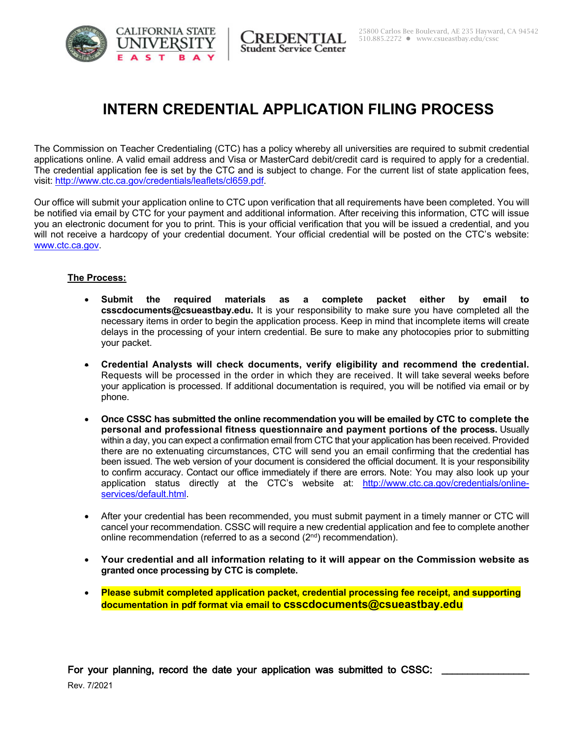

REDENTIAL **Student Service Center** 

# **INTERN CREDENTIAL APPLICATION FILING PROCESS**

The Commission on Teacher Credentialing (CTC) has a policy whereby all universities are required to submit credential applications online. A valid email address and Visa or MasterCard debit/credit card is required to apply for a credential. The credential application fee is set by the CTC and is subject to change. For the current list of state application fees, visit: http://www.ctc.ca.gov/credentials/leaflets/cl659.pdf.

Our office will submit your application online to CTC upon verification that all requirements have been completed. You will be notified via email by CTC for your payment and additional information. After receiving this information, CTC will issue you an electronic document for you to print. This is your official verification that you will be issued a credential, and you will not receive a hardcopy of your credential document. Your official credential will be posted on the CTC's website: www.ctc.ca.gov.

#### **The Process:**

- **Submit the required materials as a complete packet either by email to csscdocuments@csueastbay.edu.** It is your responsibility to make sure you have completed all the necessary items in order to begin the application process. Keep in mind that incomplete items will create delays in the processing of your intern credential. Be sure to make any photocopies prior to submitting your packet.
- **Credential Analysts will check documents, verify eligibility and recommend the credential.**  Requests will be processed in the order in which they are received. It will take several weeks before your application is processed. If additional documentation is required, you will be notified via email or by phone.
- **Once CSSC has submitted the online recommendation you will be emailed by CTC to complete the personal and professional fitness questionnaire and payment portions of the process.** Usually within a day, you can expect a confirmation email from CTC that your application has been received. Provided there are no extenuating circumstances, CTC will send you an email confirming that the credential has been issued. The web version of your document is considered the official document. It is your responsibility to confirm accuracy. Contact our office immediately if there are errors. Note: You may also look up your application status directly at the CTC's website at: http://www.ctc.ca.gov/credentials/onlineservices/default.html.
- After your credential has been recommended, you must submit payment in a timely manner or CTC will cancel your recommendation. CSSC will require a new credential application and fee to complete another online recommendation (referred to as a second  $(2^{nd})$  recommendation).
- **Your credential and all information relating to it will appear on the Commission website as granted once processing by CTC is complete.**
- **Please submit completed application packet, credential processing fee receipt, and supporting documentation in pdf format via email to csscdocuments@csueastbay.edu**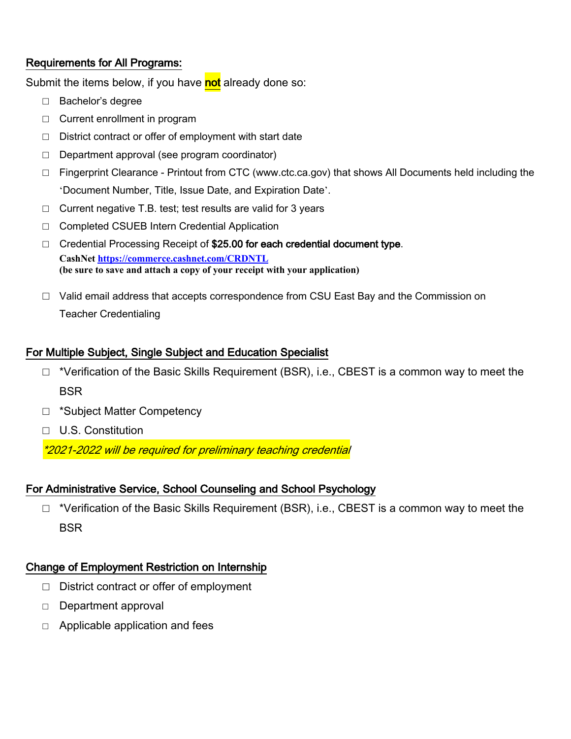## **Requirements for All Programs:**

Submit the items below, if you have not already done so:

- $\Box$  Bachelor's degree
- $\Box$  Current enrollment in program
- $\Box$  District contract or offer of employment with start date
- $\Box$  Department approval (see program coordinator)
- $\Box$  Fingerprint Clearance Printout from CTC (www.ctc.ca.gov) that shows All Documents held including the 'Document Number, Title, Issue Date, and Expiration Date'.
- $\Box$  Current negative T.B. test; test results are valid for 3 years
- □ Completed CSUEB Intern Credential Application
- $\Box$  Credential Processing Receipt of \$25.00 for each credential document type. **CashNet https://commerce.cashnet.com/CRDNTL** (be sure to save and attach a copy of your receipt with your application)
- $\Box$  Valid email address that accepts correspondence from CSU East Bay and the Commission on **Teacher Credentialing**

### For Multiple Subject, Single Subject and Education Specialist

- $\Box$  \*Verification of the Basic Skills Requirement (BSR), i.e., CBEST is a common way to meet the **BSR**
- □ \*Subject Matter Competency
- $\Box$  U.S. Constitution

\*2021-2022 will be required for preliminary teaching credential

## For Administrative Service, School Counseling and School Psychology

 $\Box$  \*Verification of the Basic Skills Requirement (BSR), i.e., CBEST is a common way to meet the **BSR** 

### **Change of Employment Restriction on Internship**

- $\Box$  District contract or offer of employment
- Department approval  $\Box$
- $\Box$  Applicable application and fees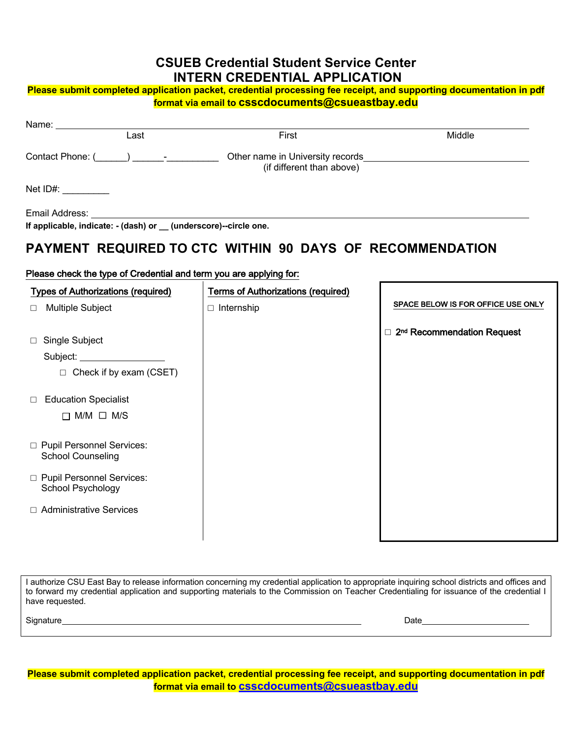## **CSUEB Credential Student Service Center INTERN CREDENTIAL APPLICATION**

#### Please submit completed application packet, credential processing fee receipt, and supporting documentation in pdf format via email to csscdocuments@csueastbay.edu

| Name: ____________________                                       |                                        |                                                                                     |        |  |  |
|------------------------------------------------------------------|----------------------------------------|-------------------------------------------------------------------------------------|--------|--|--|
|                                                                  | Last                                   | First                                                                               | Middle |  |  |
|                                                                  | Contact Phone: (Casselland Phone 2014) | Other name in University records<br><u>Discussions</u><br>(if different than above) |        |  |  |
| Net $ID#$ : $\qquad \qquad$                                      |                                        |                                                                                     |        |  |  |
| Email Address:                                                   |                                        |                                                                                     |        |  |  |
| If applicable, indicate: - (dash) or _ (underscore)--circle one. |                                        |                                                                                     |        |  |  |
| <b>PAYMENT REQUIRED TO CTC WITHIN 90 DAYS OF RECOMMENDATION</b>  |                                        |                                                                                     |        |  |  |

#### Please check the type of Credential and term you are applying for:

| <b>Types of Authorizations (required)</b>               | <b>Terms of Authorizations (required)</b> |                                                  |
|---------------------------------------------------------|-------------------------------------------|--------------------------------------------------|
| Multiple Subject<br>П                                   | $\Box$ Internship                         | SPACE BELOW IS FOR OFFICE USE ONLY               |
| Single Subject<br>□                                     |                                           | 2 <sup>nd</sup> Recommendation Request<br>$\Box$ |
| Subject:                                                |                                           |                                                  |
| Check if by exam (CSET)<br>$\Box$                       |                                           |                                                  |
| <b>Education Specialist</b><br>$\Box$                   |                                           |                                                  |
| $\Box$ M/M $\Box$ M/S                                   |                                           |                                                  |
| □ Pupil Personnel Services:<br><b>School Counseling</b> |                                           |                                                  |
| □ Pupil Personnel Services:<br>School Psychology        |                                           |                                                  |
| <b>Administrative Services</b><br>П                     |                                           |                                                  |
|                                                         |                                           |                                                  |

I authorize CSU East Bay to release information concerning my credential application to appropriate inquiring school districts and offices and to forward my credential application and supporting materials to the Commission on Teacher Credentialing for issuance of the credential I have requested.

Signature

Date

Please submit completed application packet, credential processing fee receipt, and supporting documentation in pdf format via email to csscdocuments@csueastbay.edu